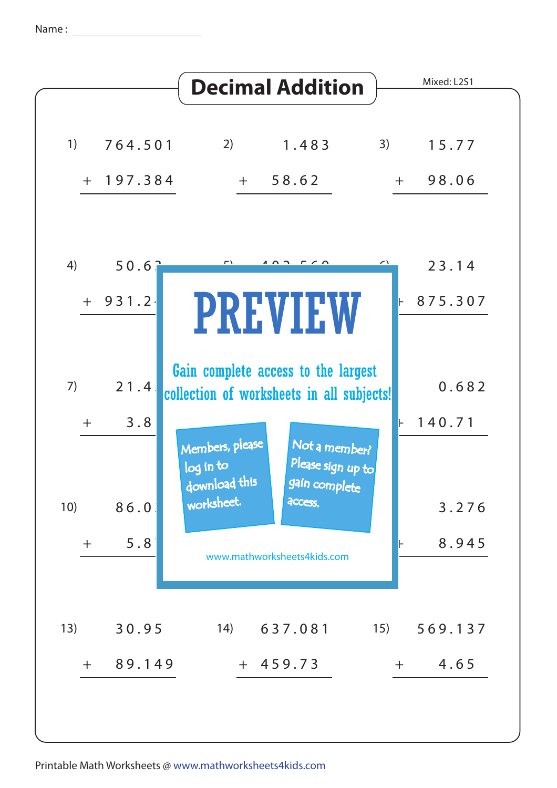